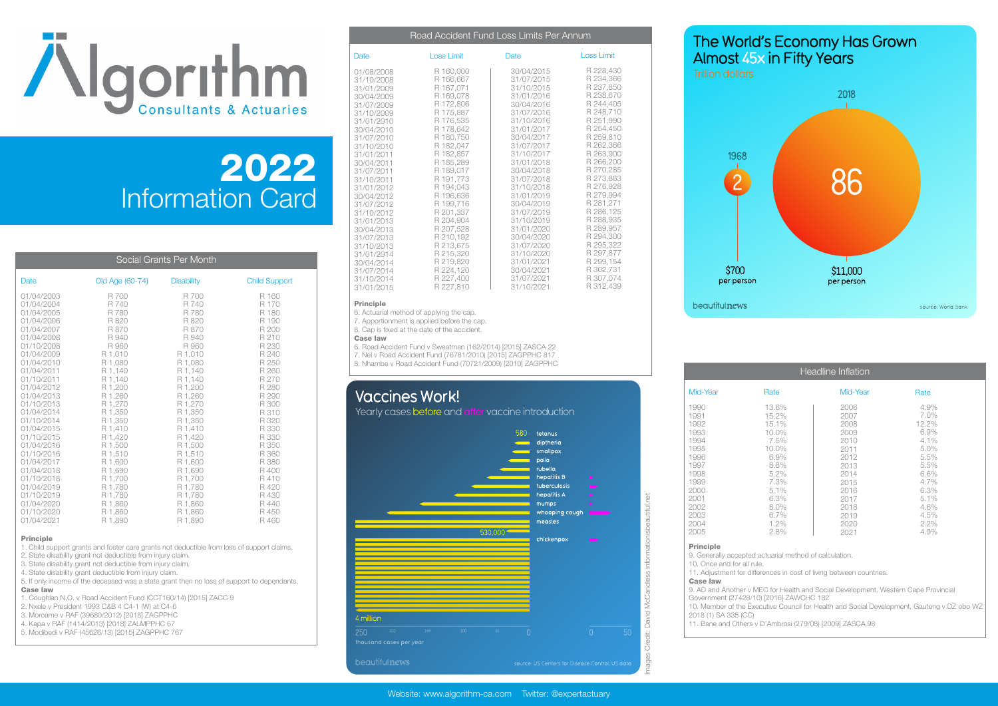

# Information Card 2022

|                                                                                                                                                                                                                                                                                                                                                                                                      |                                                                                                                                                                                                                                                                                                    | Social Grants Per Month                                                                                                                                                                                                                                                                            |                                                                                                                                                                                                                                                       |
|------------------------------------------------------------------------------------------------------------------------------------------------------------------------------------------------------------------------------------------------------------------------------------------------------------------------------------------------------------------------------------------------------|----------------------------------------------------------------------------------------------------------------------------------------------------------------------------------------------------------------------------------------------------------------------------------------------------|----------------------------------------------------------------------------------------------------------------------------------------------------------------------------------------------------------------------------------------------------------------------------------------------------|-------------------------------------------------------------------------------------------------------------------------------------------------------------------------------------------------------------------------------------------------------|
| Date                                                                                                                                                                                                                                                                                                                                                                                                 | Old Age (60-74)                                                                                                                                                                                                                                                                                    | <b>Disability</b>                                                                                                                                                                                                                                                                                  | <b>Child Support</b>                                                                                                                                                                                                                                  |
| 01/04/2003<br>01/04/2004<br>01/04/2005<br>01/04/2006<br>01/04/2007<br>01/04/2008<br>01/10/2008<br>01/04/2009<br>01/04/2010<br>01/04/2011<br>01/10/2011<br>01/04/2012<br>01/04/2013<br>01/10/2013<br>01/04/2014<br>01/10/2014<br>01/04/2015<br>01/10/2015<br>01/04/2016<br>01/10/2016<br>01/04/2017<br>01/04/2018<br>01/10/2018<br>01/04/2019<br>01/10/2019<br>01/04/2020<br>01/10/2020<br>01/04/2021 | R 700<br>R 740<br>R 780<br>R 820<br>R 870<br>R 940<br>R 960<br>R 1.010<br>R 1,080<br>R 1.140<br>R 1.140<br>R 1.200<br>R 1.260<br>R 1.270<br>R 1,350<br>R 1.350<br>R 1.410<br>R 1,420<br>R 1,500<br>R 1,510<br>R 1,600<br>R 1.690<br>R 1.700<br>R 1,780<br>R 1.780<br>R 1.860<br>R 1,860<br>R 1.890 | R 700<br>R 740<br>R 780<br>R 820<br>R 870<br>R 940<br>R 960<br>R 1.010<br>R 1,080<br>R 1.140<br>R 1,140<br>R 1,200<br>R 1.260<br>R 1.270<br>R 1,350<br>R 1.350<br>R 1.410<br>R 1,420<br>R 1,500<br>R 1,510<br>R 1,600<br>R 1.690<br>R 1.700<br>R 1,780<br>R 1.780<br>R 1.860<br>R 1,860<br>R 1,890 | R 160<br>R 170<br>R 180<br>R 190<br>R 200<br>R 210<br>R 230<br>R 240<br>R 250<br>R 260<br>R 270<br>R 280<br>R 290<br>R 300<br>R 310<br>R 320<br>R 330<br>R 330<br>R 350<br>R 360<br>R 380<br>R 400<br>R410<br>R420<br>R430<br>R 440<br>R 450<br>R 460 |

#### Principle

1. Child support grants and foster care grants not deductible from loss of support claims.

2. State disability grant not deductible from injury claim.

3. State disability grant not deductible from injury claim.

4. State disability grant deductible from injury claim.

5. If only income of the deceased was a state grant then no loss of support to dependants. Case law

1. Coughlan N.O. v Road Accident Fund (CCT160/14) [2015] ZACC 9

- 2. Nxele v President 1993 C&B 4 C4-1 (W) at C4-6
- 3. Moroame v RAF (39680/2012) [2018] ZAGPPHC
- 4. Kapa v RAF (1414/2013) [2018] ZALMPPHC 67

5. Modibedi v RAF (45626/13) [2015] ZAGPPHC 767

| Date                                                                                                                                                                                                                                                                                               | Loss Limit                                                                                                                                                                                                                                                                    | Date                                                                                                                                                                                                                                                                                               | Loss Limit                                                                                                                                                                                                                                                                                 |
|----------------------------------------------------------------------------------------------------------------------------------------------------------------------------------------------------------------------------------------------------------------------------------------------------|-------------------------------------------------------------------------------------------------------------------------------------------------------------------------------------------------------------------------------------------------------------------------------|----------------------------------------------------------------------------------------------------------------------------------------------------------------------------------------------------------------------------------------------------------------------------------------------------|--------------------------------------------------------------------------------------------------------------------------------------------------------------------------------------------------------------------------------------------------------------------------------------------|
| 01/08/2008<br>31/10/2008<br>31/01/2009<br>30/04/2009<br>31/07/2009<br>31/10/2009<br>31/01/2010<br>30/04/2010<br>31/07/2010<br>31/10/2010<br>31/01/2011<br>30/04/2011<br>31/07/2011<br>31/10/2011<br>31/01/2012<br>30/04/2012<br>31/07/2012<br>31/10/2012<br>31/01/2013<br>30/04/2013<br>31/07/2013 | R 160,000<br>R 166.667<br>R 167.071<br>R 169,078<br>R 172,806<br>R 175.887<br>R 176,535<br>R 178.642<br>R 180.750<br>R 182,047<br>R 182.857<br>R 185,289<br>R 189,017<br>R 191.773<br>R 194.043<br>R 196.636<br>R 199.716<br>R 201.337<br>R 204,904<br>R 207.528<br>R 210,192 | 30/04/2015<br>31/07/2015<br>31/10/2015<br>31/01/2016<br>30/04/2016<br>31/07/2016<br>31/10/2016<br>31/01/2017<br>30/04/2017<br>31/07/2017<br>31/10/2017<br>31/01/2018<br>30/04/2018<br>31/07/2018<br>31/10/2018<br>31/01/2019<br>30/04/2019<br>31/07/2019<br>31/10/2019<br>31/01/2020<br>30/04/2020 | R 228,430<br>R 234.366<br>R 237,850<br>R 238,670<br>R 244,405<br>R 248.710<br>R 251.990<br>R 254,450<br>R 259.810<br>R 262.366<br>R 263,900<br>R 266,200<br>R 270.285<br>R 273,863<br>R 276,928<br>R 279,994<br>R 281.271<br>R 286.125<br>R 288,935<br>R 289.957<br>R 294,300<br>R 295.322 |
| 31/01/2014<br>30/04/2014<br>31/07/2014<br>31/10/2014                                                                                                                                                                                                                                               | R 215,320<br>R 219.820<br>R 224,120<br>R 227,400                                                                                                                                                                                                                              | 31/10/2020<br>31/01/2021<br>30/04/2021<br>31/07/2021<br>31/10/2021                                                                                                                                                                                                                                 | R 297.877<br>R 299.154<br>R 302,731<br>R 307,074<br>R 312.439                                                                                                                                                                                                                              |
| 31/10/2013<br>31/01/2015                                                                                                                                                                                                                                                                           | R 213,675<br>R 227,810                                                                                                                                                                                                                                                        | 31/07/2020                                                                                                                                                                                                                                                                                         |                                                                                                                                                                                                                                                                                            |

Road Accident Fund Loss Limits Per Annum

#### Principle

6. Actuarial method of applying the cap.

7. Apportionment is applied before the cap.

8. Cap is fixed at the date of the accident.

Case law

6. Road Accident Fund v Sweatman (162/2014) [2015] ZASCA 22

7. Nel v Road Accident Fund (76781/2010) [2015] ZAGPPHC 817

8. Nhambe v Road Accident Fund (70721/2009) [2010] ZAGPPHC

## **Vaccines Work!**

#### Yearly cases before and after vaccine introduction



## The World's Economy Has Grown **Almost 45x in Fifty Years**



|                                                                                                                                                                                             |                                                                                                                                   | <b>Headline Inflation</b>                                                                                                    |                                                                                                                               |  |
|---------------------------------------------------------------------------------------------------------------------------------------------------------------------------------------------|-----------------------------------------------------------------------------------------------------------------------------------|------------------------------------------------------------------------------------------------------------------------------|-------------------------------------------------------------------------------------------------------------------------------|--|
| Mid-Year                                                                                                                                                                                    | Rate                                                                                                                              | Mid-Year                                                                                                                     | Rate                                                                                                                          |  |
| 1990<br>1991<br>1992<br>1993<br>1994<br>1995<br>1996<br>1997<br>1998<br>1999<br>2000<br>2001<br>2002<br>2003<br>2004<br>2005                                                                | 13.6%<br>15.2%<br>15.1%<br>10.0%<br>7.5%<br>10.0%<br>6.9%<br>8.8%<br>5.2%<br>7.3%<br>5.1%<br>6.3%<br>8.0%<br>6.7%<br>1.2%<br>2.8% | 2006<br>2007<br>2008<br>2009<br>2010<br>2011<br>2012<br>2013<br>2014<br>2015<br>2016<br>2017<br>2018<br>2019<br>2020<br>2021 | 4.9%<br>7.0%<br>12.2%<br>6.9%<br>4.1%<br>5.0%<br>5.5%<br>5.5%<br>6.6%<br>4.7%<br>6.3%<br>5.1%<br>4.6%<br>4.5%<br>2.2%<br>4.9% |  |
| <b>Principle</b><br>9. Generally accepted actuarial method of calculation.<br>10. Once and for all rule.<br>11. Adjustment for differences in cost of living between countries.<br>Case law |                                                                                                                                   |                                                                                                                              |                                                                                                                               |  |

9. AD and Another v MEC for Health and Social Development, Western Cape Provincial Government (27428/10) [2016] ZAWCHC 182

10. Member of the Executive Council for Health and Social Development, Gauteng v DZ obo WZ 2018 (1) SA 335 (CC)

11. Bane and Others v D'Ambrosi (279/08) [2009] ZASCA 98

Images Credit: David McCandless informationisbeautiful.net